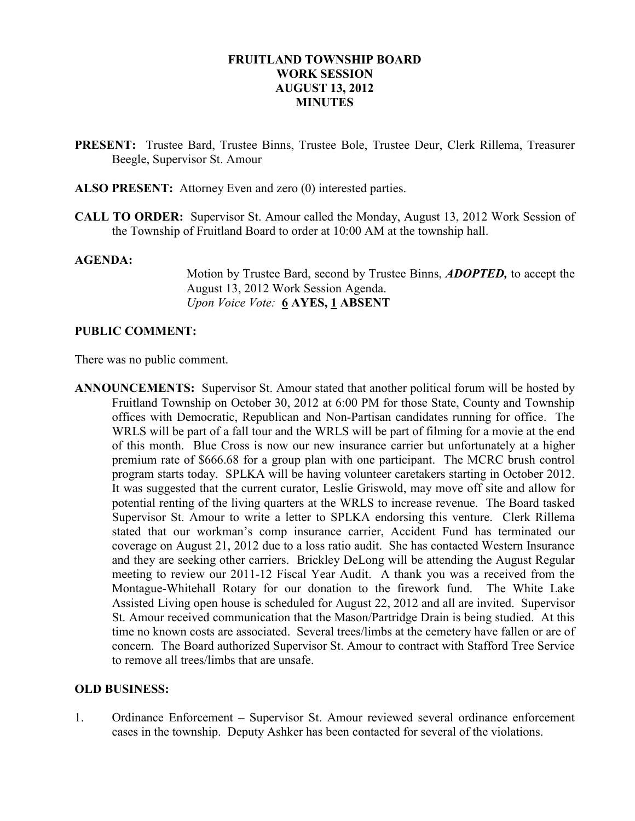### FRUITLAND TOWNSHIP BOARD WORK SESSION AUGUST 13, 2012 **MINUTES**

- PRESENT: Trustee Bard, Trustee Binns, Trustee Bole, Trustee Deur, Clerk Rillema, Treasurer Beegle, Supervisor St. Amour
- ALSO PRESENT: Attorney Even and zero (0) interested parties.
- CALL TO ORDER: Supervisor St. Amour called the Monday, August 13, 2012 Work Session of the Township of Fruitland Board to order at 10:00 AM at the township hall.

#### AGENDA:

Motion by Trustee Bard, second by Trustee Binns, ADOPTED, to accept the August 13, 2012 Work Session Agenda. Upon Voice Vote: 6 AYES, 1 ABSENT

#### PUBLIC COMMENT:

There was no public comment.

ANNOUNCEMENTS: Supervisor St. Amour stated that another political forum will be hosted by Fruitland Township on October 30, 2012 at 6:00 PM for those State, County and Township offices with Democratic, Republican and Non-Partisan candidates running for office. The WRLS will be part of a fall tour and the WRLS will be part of filming for a movie at the end of this month. Blue Cross is now our new insurance carrier but unfortunately at a higher premium rate of \$666.68 for a group plan with one participant. The MCRC brush control program starts today. SPLKA will be having volunteer caretakers starting in October 2012. It was suggested that the current curator, Leslie Griswold, may move off site and allow for potential renting of the living quarters at the WRLS to increase revenue. The Board tasked Supervisor St. Amour to write a letter to SPLKA endorsing this venture. Clerk Rillema stated that our workman's comp insurance carrier, Accident Fund has terminated our coverage on August 21, 2012 due to a loss ratio audit. She has contacted Western Insurance and they are seeking other carriers. Brickley DeLong will be attending the August Regular meeting to review our 2011-12 Fiscal Year Audit. A thank you was a received from the Montague-Whitehall Rotary for our donation to the firework fund. The White Lake Assisted Living open house is scheduled for August 22, 2012 and all are invited. Supervisor St. Amour received communication that the Mason/Partridge Drain is being studied. At this time no known costs are associated. Several trees/limbs at the cemetery have fallen or are of concern. The Board authorized Supervisor St. Amour to contract with Stafford Tree Service to remove all trees/limbs that are unsafe.

#### OLD BUSINESS:

1. Ordinance Enforcement – Supervisor St. Amour reviewed several ordinance enforcement cases in the township. Deputy Ashker has been contacted for several of the violations.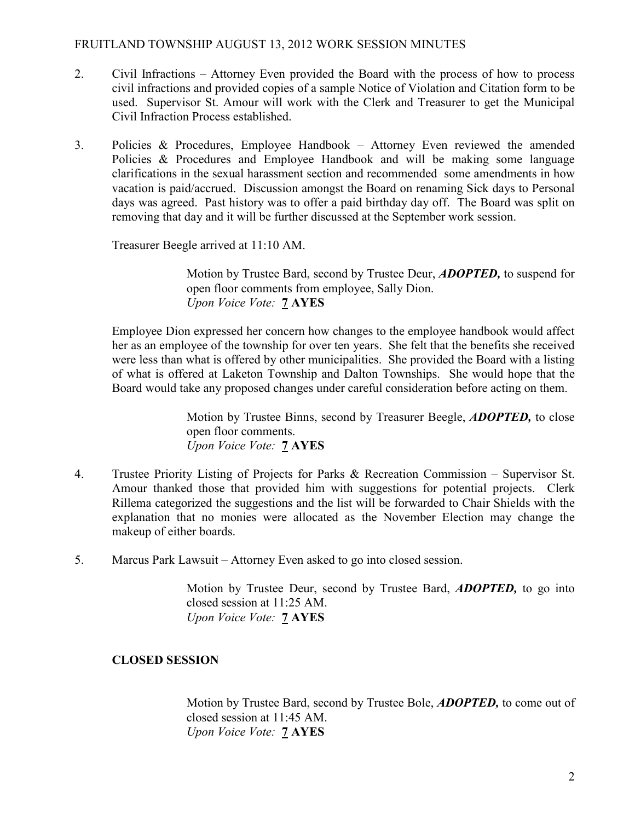## FRUITLAND TOWNSHIP AUGUST 13, 2012 WORK SESSION MINUTES

- 2. Civil Infractions Attorney Even provided the Board with the process of how to process civil infractions and provided copies of a sample Notice of Violation and Citation form to be used. Supervisor St. Amour will work with the Clerk and Treasurer to get the Municipal Civil Infraction Process established.
- 3. Policies & Procedures, Employee Handbook Attorney Even reviewed the amended Policies & Procedures and Employee Handbook and will be making some language clarifications in the sexual harassment section and recommended some amendments in how vacation is paid/accrued. Discussion amongst the Board on renaming Sick days to Personal days was agreed. Past history was to offer a paid birthday day off. The Board was split on removing that day and it will be further discussed at the September work session.

Treasurer Beegle arrived at 11:10 AM.

Motion by Trustee Bard, second by Trustee Deur, ADOPTED, to suspend for open floor comments from employee, Sally Dion. Upon Voice Vote: 7 AYES

Employee Dion expressed her concern how changes to the employee handbook would affect her as an employee of the township for over ten years. She felt that the benefits she received were less than what is offered by other municipalities. She provided the Board with a listing of what is offered at Laketon Township and Dalton Townships. She would hope that the Board would take any proposed changes under careful consideration before acting on them.

> Motion by Trustee Binns, second by Treasurer Beegle, ADOPTED, to close open floor comments. Upon Voice Vote: 7 AYES

- 4. Trustee Priority Listing of Projects for Parks & Recreation Commission Supervisor St. Amour thanked those that provided him with suggestions for potential projects. Clerk Rillema categorized the suggestions and the list will be forwarded to Chair Shields with the explanation that no monies were allocated as the November Election may change the makeup of either boards.
- 5. Marcus Park Lawsuit Attorney Even asked to go into closed session.

Motion by Trustee Deur, second by Trustee Bard, **ADOPTED**, to go into closed session at 11:25 AM. Upon Voice Vote: 7 AYES

## CLOSED SESSION

Motion by Trustee Bard, second by Trustee Bole, **ADOPTED**, to come out of closed session at 11:45 AM. Upon Voice Vote: 7 AYES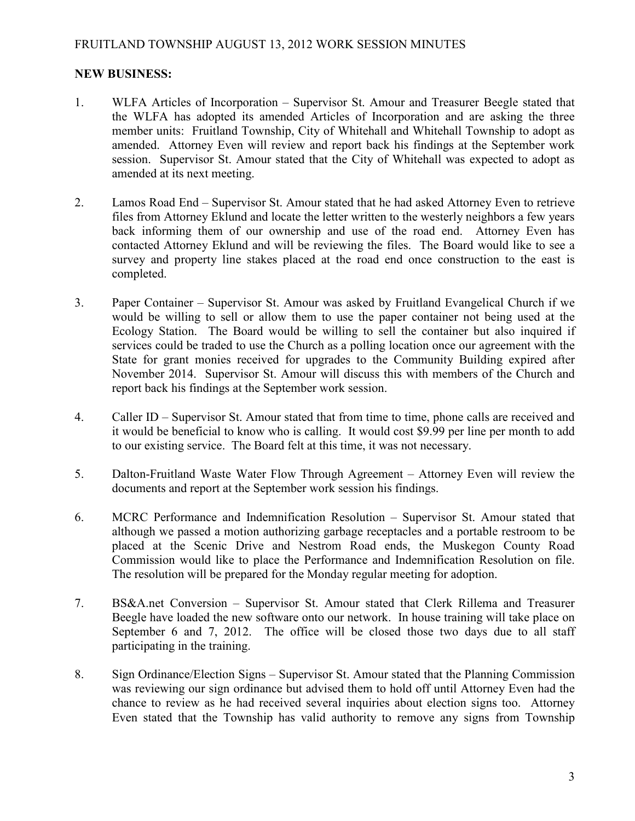## FRUITLAND TOWNSHIP AUGUST 13, 2012 WORK SESSION MINUTES

#### NEW BUSINESS:

- 1. WLFA Articles of Incorporation Supervisor St. Amour and Treasurer Beegle stated that the WLFA has adopted its amended Articles of Incorporation and are asking the three member units: Fruitland Township, City of Whitehall and Whitehall Township to adopt as amended. Attorney Even will review and report back his findings at the September work session. Supervisor St. Amour stated that the City of Whitehall was expected to adopt as amended at its next meeting.
- 2. Lamos Road End Supervisor St. Amour stated that he had asked Attorney Even to retrieve files from Attorney Eklund and locate the letter written to the westerly neighbors a few years back informing them of our ownership and use of the road end. Attorney Even has contacted Attorney Eklund and will be reviewing the files. The Board would like to see a survey and property line stakes placed at the road end once construction to the east is completed.
- 3. Paper Container Supervisor St. Amour was asked by Fruitland Evangelical Church if we would be willing to sell or allow them to use the paper container not being used at the Ecology Station. The Board would be willing to sell the container but also inquired if services could be traded to use the Church as a polling location once our agreement with the State for grant monies received for upgrades to the Community Building expired after November 2014. Supervisor St. Amour will discuss this with members of the Church and report back his findings at the September work session.
- 4. Caller ID Supervisor St. Amour stated that from time to time, phone calls are received and it would be beneficial to know who is calling. It would cost \$9.99 per line per month to add to our existing service. The Board felt at this time, it was not necessary.
- 5. Dalton-Fruitland Waste Water Flow Through Agreement Attorney Even will review the documents and report at the September work session his findings.
- 6. MCRC Performance and Indemnification Resolution Supervisor St. Amour stated that although we passed a motion authorizing garbage receptacles and a portable restroom to be placed at the Scenic Drive and Nestrom Road ends, the Muskegon County Road Commission would like to place the Performance and Indemnification Resolution on file. The resolution will be prepared for the Monday regular meeting for adoption.
- 7. BS&A.net Conversion Supervisor St. Amour stated that Clerk Rillema and Treasurer Beegle have loaded the new software onto our network. In house training will take place on September 6 and 7, 2012. The office will be closed those two days due to all staff participating in the training.
- 8. Sign Ordinance/Election Signs Supervisor St. Amour stated that the Planning Commission was reviewing our sign ordinance but advised them to hold off until Attorney Even had the chance to review as he had received several inquiries about election signs too. Attorney Even stated that the Township has valid authority to remove any signs from Township